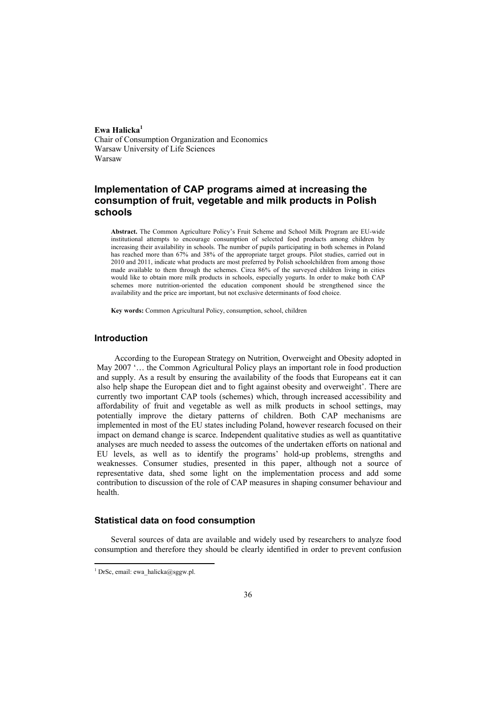**Ewa Halicka1** Chair of Consumption Organization and Economics Warsaw University of Life Sciences Warsaw

# **Implementation of CAP programs aimed at increasing the consumption of fruit, vegetable and milk products in Polish schools**

**Abstract.** The Common Agriculture Policy's Fruit Scheme and School Milk Program are EU-wide institutional attempts to encourage consumption of selected food products among children by increasing their availability in schools. The number of pupils participating in both schemes in Poland has reached more than 67% and 38% of the appropriate target groups. Pilot studies, carried out in 2010 and 2011, indicate what products are most preferred by Polish schoolchildren from among those made available to them through the schemes. Circa 86% of the surveyed children living in cities would like to obtain more milk products in schools, especially yogurts. In order to make both CAP schemes more nutrition-oriented the education component should be strengthened since the availability and the price are important, but not exclusive determinants of food choice.

**Key words:** Common Agricultural Policy, consumption, school, children

### **Introduction**

According to the European Strategy on Nutrition, Overweight and Obesity adopted in May 2007 '… the Common Agricultural Policy plays an important role in food production and supply. As a result by ensuring the availability of the foods that Europeans eat it can also help shape the European diet and to fight against obesity and overweight'. There are currently two important CAP tools (schemes) which, through increased accessibility and affordability of fruit and vegetable as well as milk products in school settings, may potentially improve the dietary patterns of children. Both CAP mechanisms are implemented in most of the EU states including Poland, however research focused on their impact on demand change is scarce. Independent qualitative studies as well as quantitative analyses are much needed to assess the outcomes of the undertaken efforts on national and EU levels, as well as to identify the programs' hold-up problems, strengths and weaknesses. Consumer studies, presented in this paper, although not a source of representative data, shed some light on the implementation process and add some contribution to discussion of the role of CAP measures in shaping consumer behaviour and health.

## **Statistical data on food consumption**

Several sources of data are available and widely used by researchers to analyze food consumption and therefore they should be clearly identified in order to prevent confusion

<sup>&</sup>lt;sup>1</sup> DrSc, email: ewa\_halicka@sggw.pl.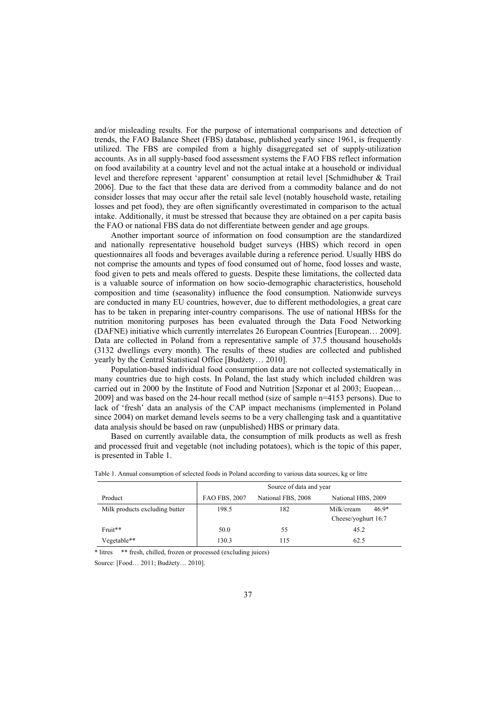and/or misleading results. For the purpose of international comparisons and detection of trends, the FAO Balance Sheet (FBS) database, published yearly since 1961, is frequently utilized. The FBS are compiled from a highly disaggregated set of supply-utilization accounts. As in all supply-based food assessment systems the FAO FBS reflect information on food availability at a country level and not the actual intake at a household or individual level and therefore represent 'apparent' consumption at retail level [Schmidhuber & Trail 2006]. Due to the fact that these data are derived from a commodity balance and do not consider losses that may occur after the retail sale level (notably household waste, retailing losses and pet food), they are often significantly overestimated in comparison to the actual intake. Additionally, it must be stressed that because they are obtained on a per capita basis the FAO or national FBS data do not differentiate between gender and age groups.

Another important source of information on food consumption are the standardized and nationally representative household budget surveys (HBS) which record in open questionnaires all foods and beverages available during a reference period. Usually HBS do not comprise the amounts and types of food consumed out of home, food losses and waste, food given to pets and meals offered to guests. Despite these limitations, the collected data is a valuable source of information on how socio-demographic characteristics, household composition and time (seasonality) influence the food consumption. Nationwide surveys are conducted in many EU countries, however, due to different methodologies, a great care has to be taken in preparing inter-country comparisons. The use of national HBSs for the nutrition monitoring purposes has been evaluated through the Data Food Networking (DAFNE) initiative which currently interrelates 26 European Countries [European… 2009]. Data are collected in Poland from a representative sample of 37.5 thousand households (3132 dwellings every month). The results of these studies are collected and published yearly by the Central Statistical Office [Budżety… 2010].

Population-based individual food consumption data are not collected systematically in many countries due to high costs. In Poland, the last study which included children was carried out in 2000 by the Institute of Food and Nutrition [Szponar et al 2003; Euopean… 2009] and was based on the 24-hour recall method (size of sample n=4153 persons). Due to lack of 'fresh' data an analysis of the CAP impact mechanisms (implemented in Poland since 2004) on market demand levels seems to be a very challenging task and a quantitative data analysis should be based on raw (unpublished) HBS or primary data.

Based on currently available data, the consumption of milk products as well as fresh and processed fruit and vegetable (not including potatoes), which is the topic of this paper, is presented in Table 1.

|                                | Source of data and year |                    |                       |  |  |  |  |
|--------------------------------|-------------------------|--------------------|-----------------------|--|--|--|--|
| Product                        | <b>FAO FBS, 2007</b>    | National FBS, 2008 | National HBS, 2009    |  |  |  |  |
| Milk products excluding butter | 198.5                   | 182                | $46.9*$<br>Milk/cream |  |  |  |  |
|                                |                         |                    | Cheese/yoghurt 16.7   |  |  |  |  |
| Fruit**                        | 50.0                    | 55                 | 45.2                  |  |  |  |  |
| Vegetable**                    | 130.3                   | 115                | 62.5                  |  |  |  |  |

|  |  |  |  | Table 1. Annual consumption of selected foods in Poland according to various data sources, kg or litre |  |
|--|--|--|--|--------------------------------------------------------------------------------------------------------|--|
|  |  |  |  |                                                                                                        |  |
|  |  |  |  |                                                                                                        |  |
|  |  |  |  |                                                                                                        |  |

\* litres \*\* fresh, chilled, frozen or processed (excluding juices)

Source: [Food… 2011; Budżety… 2010].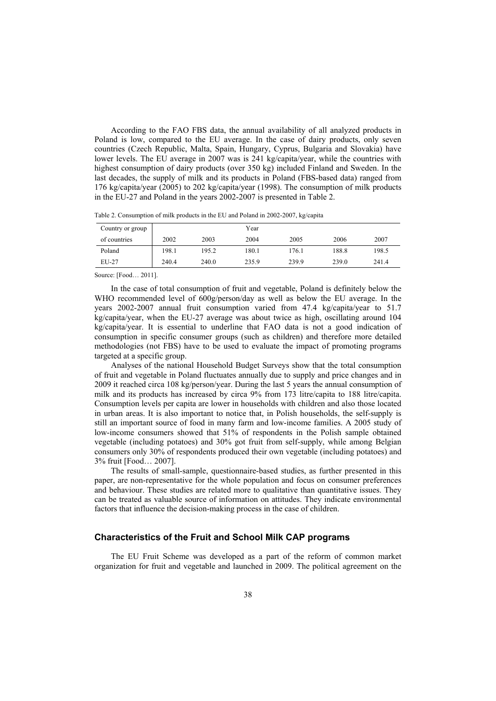According to the FAO FBS data, the annual availability of all analyzed products in Poland is low, compared to the EU average. In the case of dairy products, only seven countries (Czech Republic, Malta, Spain, Hungary, Cyprus, Bulgaria and Slovakia) have lower levels. The EU average in 2007 was is 241 kg/capita/year, while the countries with highest consumption of dairy products (over 350 kg) included Finland and Sweden. In the last decades, the supply of milk and its products in Poland (FBS-based data) ranged from 176 kg/capita/year (2005) to 202 kg/capita/year (1998). The consumption of milk products in the EU-27 and Poland in the years 2002-2007 is presented in Table 2.

Table 2. Consumption of milk products in the EU and Poland in 2002-2007, kg/capita

| Country or group |       |       | Year  |       |       |       |
|------------------|-------|-------|-------|-------|-------|-------|
| of countries     | 2002  | 2003  | 2004  | 2005  | 2006  | 2007  |
| Poland           | 198.1 | 195.2 | 180.1 | 176.1 | 188.8 | 198.5 |
| $EU-27$          | 240.4 | 240.0 | 235.9 | 239.9 | 239.0 | 241.4 |

Source: [Food… 2011].

In the case of total consumption of fruit and vegetable, Poland is definitely below the WHO recommended level of 600g/person/day as well as below the EU average. In the years 2002-2007 annual fruit consumption varied from 47.4 kg/capita/year to 51.7 kg/capita/year, when the EU-27 average was about twice as high, oscillating around 104 kg/capita/year. It is essential to underline that FAO data is not a good indication of consumption in specific consumer groups (such as children) and therefore more detailed methodologies (not FBS) have to be used to evaluate the impact of promoting programs targeted at a specific group.

Analyses of the national Household Budget Surveys show that the total consumption of fruit and vegetable in Poland fluctuates annually due to supply and price changes and in 2009 it reached circa 108 kg/person/year. During the last 5 years the annual consumption of milk and its products has increased by circa 9% from 173 litre/capita to 188 litre/capita. Consumption levels per capita are lower in households with children and also those located in urban areas. It is also important to notice that, in Polish households, the self-supply is still an important source of food in many farm and low-income families. A 2005 study of low-income consumers showed that 51% of respondents in the Polish sample obtained vegetable (including potatoes) and 30% got fruit from self-supply, while among Belgian consumers only 30% of respondents produced their own vegetable (including potatoes) and 3% fruit [Food… 2007].

The results of small-sample, questionnaire-based studies, as further presented in this paper, are non-representative for the whole population and focus on consumer preferences and behaviour. These studies are related more to qualitative than quantitative issues. They can be treated as valuable source of information on attitudes. They indicate environmental factors that influence the decision-making process in the case of children.

#### **Characteristics of the Fruit and School Milk CAP programs**

The EU Fruit Scheme was developed as a part of the reform of common market organization for fruit and vegetable and launched in 2009. The political agreement on the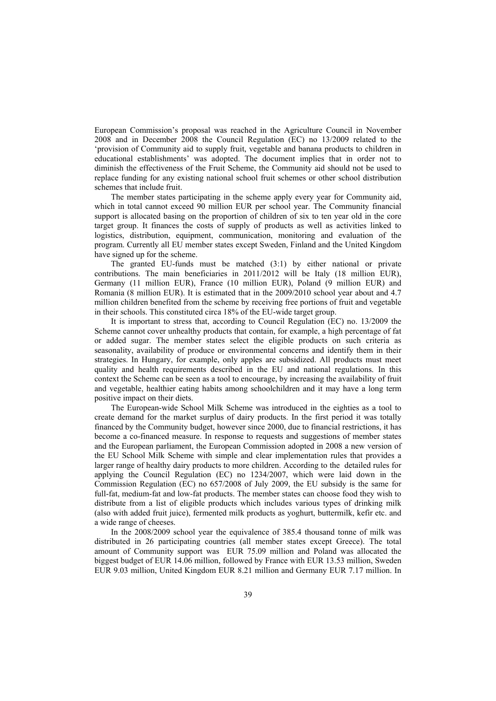European Commission's proposal was reached in the Agriculture Council in November 2008 and in December 2008 the Council Regulation (EC) no 13/2009 related to the 'provision of Community aid to supply fruit, vegetable and banana products to children in educational establishments' was adopted. The document implies that in order not to diminish the effectiveness of the Fruit Scheme, the Community aid should not be used to replace funding for any existing national school fruit schemes or other school distribution schemes that include fruit.

The member states participating in the scheme apply every year for Community aid, which in total cannot exceed 90 million EUR per school year. The Community financial support is allocated basing on the proportion of children of six to ten year old in the core target group. It finances the costs of supply of products as well as activities linked to logistics, distribution, equipment, communication, monitoring and evaluation of the program. Currently all EU member states except Sweden, Finland and the United Kingdom have signed up for the scheme.

The granted EU-funds must be matched (3:1) by either national or private contributions. The main beneficiaries in 2011/2012 will be Italy (18 million EUR), Germany (11 million EUR), France (10 million EUR), Poland (9 million EUR) and Romania (8 million EUR). It is estimated that in the 2009/2010 school year about and 4.7 million children benefited from the scheme by receiving free portions of fruit and vegetable in their schools. This constituted circa 18% of the EU-wide target group.

It is important to stress that, according to Council Regulation (EC) no. 13/2009 the Scheme cannot cover unhealthy products that contain, for example, a high percentage of fat or added sugar. The member states select the eligible products on such criteria as seasonality, availability of produce or environmental concerns and identify them in their strategies. In Hungary, for example, only apples are subsidized. All products must meet quality and health requirements described in the EU and national regulations. In this context the Scheme can be seen as a tool to encourage, by increasing the availability of fruit and vegetable, healthier eating habits among schoolchildren and it may have a long term positive impact on their diets.

The European-wide School Milk Scheme was introduced in the eighties as a tool to create demand for the market surplus of dairy products. In the first period it was totally financed by the Community budget, however since 2000, due to financial restrictions, it has become a co-financed measure. In response to requests and suggestions of member states and the European parliament, the European Commission adopted in 2008 a new version of the EU School Milk Scheme with simple and clear implementation rules that provides a larger range of healthy dairy products to more children. According to the detailed rules for applying the Council Regulation (EC) no 1234/2007, which were laid down in the Commission Regulation (EC) no 657/2008 of July 2009, the EU subsidy is the same for full-fat, medium-fat and low-fat products. The member states can choose food they wish to distribute from a list of eligible products which includes various types of drinking milk (also with added fruit juice), fermented milk products as yoghurt, buttermilk, kefir etc. and a wide range of cheeses.

In the 2008/2009 school year the equivalence of 385.4 thousand tonne of milk was distributed in 26 participating countries (all member states except Greece). The total amount of Community support was EUR 75.09 million and Poland was allocated the biggest budget of EUR 14.06 million, followed by France with EUR 13.53 million, Sweden EUR 9.03 million, United Kingdom EUR 8.21 million and Germany EUR 7.17 million. In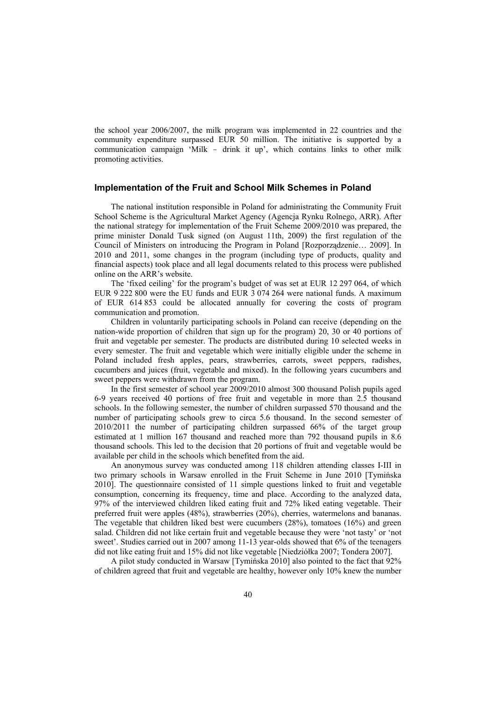the school year 2006/2007, the milk program was implemented in 22 countries and the community expenditure surpassed EUR 50 million. The initiative is supported by a communication campaign 'Milk - drink it up', which contains links to other milk promoting activities.

## **Implementation of the Fruit and School Milk Schemes in Poland**

The national institution responsible in Poland for administrating the Community Fruit School Scheme is the Agricultural Market Agency (Agencja Rynku Rolnego, ARR). After the national strategy for implementation of the Fruit Scheme 2009/2010 was prepared, the prime minister Donald Tusk signed (on August 11th, 2009) the first regulation of the Council of Ministers on introducing the Program in Poland [Rozporządzenie… 2009]. In 2010 and 2011, some changes in the program (including type of products, quality and financial aspects) took place and all legal documents related to this process were published online on the ARR's website.

The 'fixed ceiling' for the program's budget of was set at EUR 12 297 064, of which EUR 9 222 800 were the EU funds and EUR 3 074 264 were national funds. A maximum of EUR 614 853 could be allocated annually for covering the costs of program communication and promotion.

Children in voluntarily participating schools in Poland can receive (depending on the nation-wide proportion of children that sign up for the program) 20, 30 or 40 portions of fruit and vegetable per semester. The products are distributed during 10 selected weeks in every semester. The fruit and vegetable which were initially eligible under the scheme in Poland included fresh apples, pears, strawberries, carrots, sweet peppers, radishes, cucumbers and juices (fruit, vegetable and mixed). In the following years cucumbers and sweet peppers were withdrawn from the program.

In the first semester of school year 2009/2010 almost 300 thousand Polish pupils aged 6-9 years received 40 portions of free fruit and vegetable in more than 2.5 thousand schools. In the following semester, the number of children surpassed 570 thousand and the number of participating schools grew to circa 5.6 thousand. In the second semester of 2010/2011 the number of participating children surpassed 66% of the target group estimated at 1 million 167 thousand and reached more than 792 thousand pupils in 8.6 thousand schools. This led to the decision that 20 portions of fruit and vegetable would be available per child in the schools which benefited from the aid.

An anonymous survey was conducted among 118 children attending classes I-III in two primary schools in Warsaw enrolled in the Fruit Scheme in June 2010 [Tymińska 2010]. The questionnaire consisted of 11 simple questions linked to fruit and vegetable consumption, concerning its frequency, time and place. According to the analyzed data, 97% of the interviewed children liked eating fruit and 72% liked eating vegetable. Their preferred fruit were apples (48%), strawberries (20%), cherries, watermelons and bananas. The vegetable that children liked best were cucumbers (28%), tomatoes (16%) and green salad. Children did not like certain fruit and vegetable because they were 'not tasty' or 'not sweet'. Studies carried out in 2007 among 11-13 year-olds showed that 6% of the teenagers did not like eating fruit and 15% did not like vegetable [Niedziółka 2007; Tondera 2007].

A pilot study conducted in Warsaw [Tymińska 2010] also pointed to the fact that 92% of children agreed that fruit and vegetable are healthy, however only 10% knew the number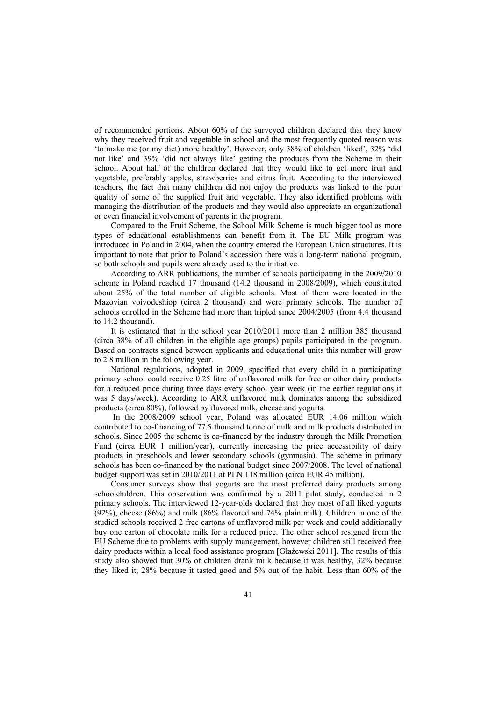of recommended portions. About 60% of the surveyed children declared that they knew why they received fruit and vegetable in school and the most frequently quoted reason was 'to make me (or my diet) more healthy'. However, only 38% of children 'liked', 32% 'did not like' and 39% 'did not always like' getting the products from the Scheme in their school. About half of the children declared that they would like to get more fruit and vegetable, preferably apples, strawberries and citrus fruit. According to the interviewed teachers, the fact that many children did not enjoy the products was linked to the poor quality of some of the supplied fruit and vegetable. They also identified problems with managing the distribution of the products and they would also appreciate an organizational or even financial involvement of parents in the program.

Compared to the Fruit Scheme, the School Milk Scheme is much bigger tool as more types of educational establishments can benefit from it. The EU Milk program was introduced in Poland in 2004, when the country entered the European Union structures. It is important to note that prior to Poland's accession there was a long-term national program, so both schools and pupils were already used to the initiative.

According to ARR publications, the number of schools participating in the 2009/2010 scheme in Poland reached 17 thousand (14.2 thousand in 2008/2009), which constituted about 25% of the total number of eligible schools. Most of them were located in the Mazovian voivodeshiop (circa 2 thousand) and were primary schools. The number of schools enrolled in the Scheme had more than tripled since 2004/2005 (from 4.4 thousand to 14.2 thousand).

It is estimated that in the school year 2010/2011 more than 2 million 385 thousand (circa 38% of all children in the eligible age groups) pupils participated in the program. Based on contracts signed between applicants and educational units this number will grow to 2.8 million in the following year.

National regulations, adopted in 2009, specified that every child in a participating primary school could receive 0.25 litre of unflavored milk for free or other dairy products for a reduced price during three days every school year week (in the earlier regulations it was 5 days/week). According to ARR unflavored milk dominates among the subsidized products (circa 80%), followed by flavored milk, cheese and yogurts.

 In the 2008/2009 school year, Poland was allocated EUR 14.06 million which contributed to co-financing of 77.5 thousand tonne of milk and milk products distributed in schools. Since 2005 the scheme is co-financed by the industry through the Milk Promotion Fund (circa EUR 1 million/year), currently increasing the price accessibility of dairy products in preschools and lower secondary schools (gymnasia). The scheme in primary schools has been co-financed by the national budget since 2007/2008. The level of national budget support was set in 2010/2011 at PLN 118 million (circa EUR 45 million).

Consumer surveys show that yogurts are the most preferred dairy products among schoolchildren. This observation was confirmed by a 2011 pilot study, conducted in 2 primary schools. The interviewed 12-year-olds declared that they most of all liked yogurts (92%), cheese (86%) and milk (86% flavored and 74% plain milk). Children in one of the studied schools received 2 free cartons of unflavored milk per week and could additionally buy one carton of chocolate milk for a reduced price. The other school resigned from the EU Scheme due to problems with supply management, however children still received free dairy products within a local food assistance program [Głażewski 2011]. The results of this study also showed that 30% of children drank milk because it was healthy, 32% because they liked it, 28% because it tasted good and 5% out of the habit. Less than 60% of the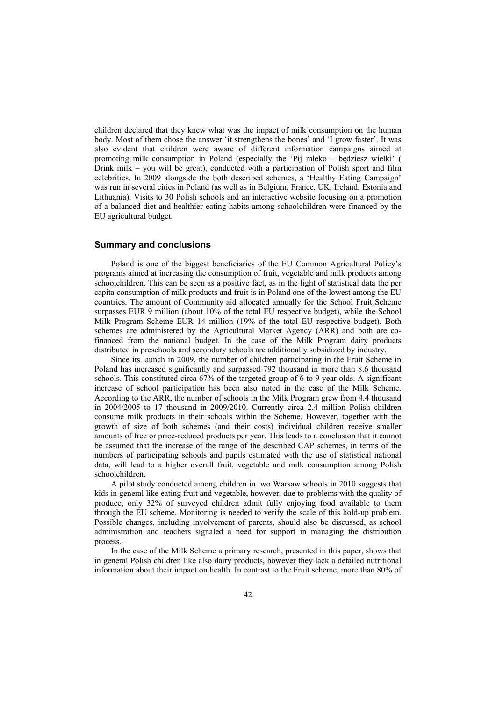children declared that they knew what was the impact of milk consumption on the human body. Most of them chose the answer 'it strengthens the bones' and 'I grow faster'. It was also evident that children were aware of different information campaigns aimed at promoting milk consumption in Poland (especially the 'Pij mleko – będziesz wielki' ( Drink milk – you will be great), conducted with a participation of Polish sport and film celebrities. In 2009 alongside the both described schemes, a 'Healthy Eating Campaign' was run in several cities in Poland (as well as in Belgium, France, UK, Ireland, Estonia and Lithuania). Visits to 30 Polish schools and an interactive website focusing on a promotion of a balanced diet and healthier eating habits among schoolchildren were financed by the EU agricultural budget.

#### **Summary and conclusions**

Poland is one of the biggest beneficiaries of the EU Common Agricultural Policy's programs aimed at increasing the consumption of fruit, vegetable and milk products among schoolchildren. This can be seen as a positive fact, as in the light of statistical data the per capita consumption of milk products and fruit is in Poland one of the lowest among the EU countries. The amount of Community aid allocated annually for the School Fruit Scheme surpasses EUR 9 million (about 10% of the total EU respective budget), while the School Milk Program Scheme EUR 14 million (19% of the total EU respective budget). Both schemes are administered by the Agricultural Market Agency (ARR) and both are cofinanced from the national budget. In the case of the Milk Program dairy products distributed in preschools and secondary schools are additionally subsidized by industry.

Since its launch in 2009, the number of children participating in the Fruit Scheme in Poland has increased significantly and surpassed 792 thousand in more than 8.6 thousand schools. This constituted circa 67% of the targeted group of 6 to 9 year-olds. A significant increase of school participation has been also noted in the case of the Milk Scheme. According to the ARR, the number of schools in the Milk Program grew from 4.4 thousand in 2004/2005 to 17 thousand in 2009/2010. Currently circa 2.4 million Polish children consume milk products in their schools within the Scheme. However, together with the growth of size of both schemes (and their costs) individual children receive smaller amounts of free or price-reduced products per year. This leads to a conclusion that it cannot be assumed that the increase of the range of the described CAP schemes, in terms of the numbers of participating schools and pupils estimated with the use of statistical national data, will lead to a higher overall fruit, vegetable and milk consumption among Polish schoolchildren.

A pilot study conducted among children in two Warsaw schools in 2010 suggests that kids in general like eating fruit and vegetable, however, due to problems with the quality of produce, only 32% of surveyed children admit fully enjoying food available to them through the EU scheme. Monitoring is needed to verify the scale of this hold-up problem. Possible changes, including involvement of parents, should also be discussed, as school administration and teachers signaled a need for support in managing the distribution process.

In the case of the Milk Scheme a primary research, presented in this paper, shows that in general Polish children like also dairy products, however they lack a detailed nutritional information about their impact on health. In contrast to the Fruit scheme, more than 80% of